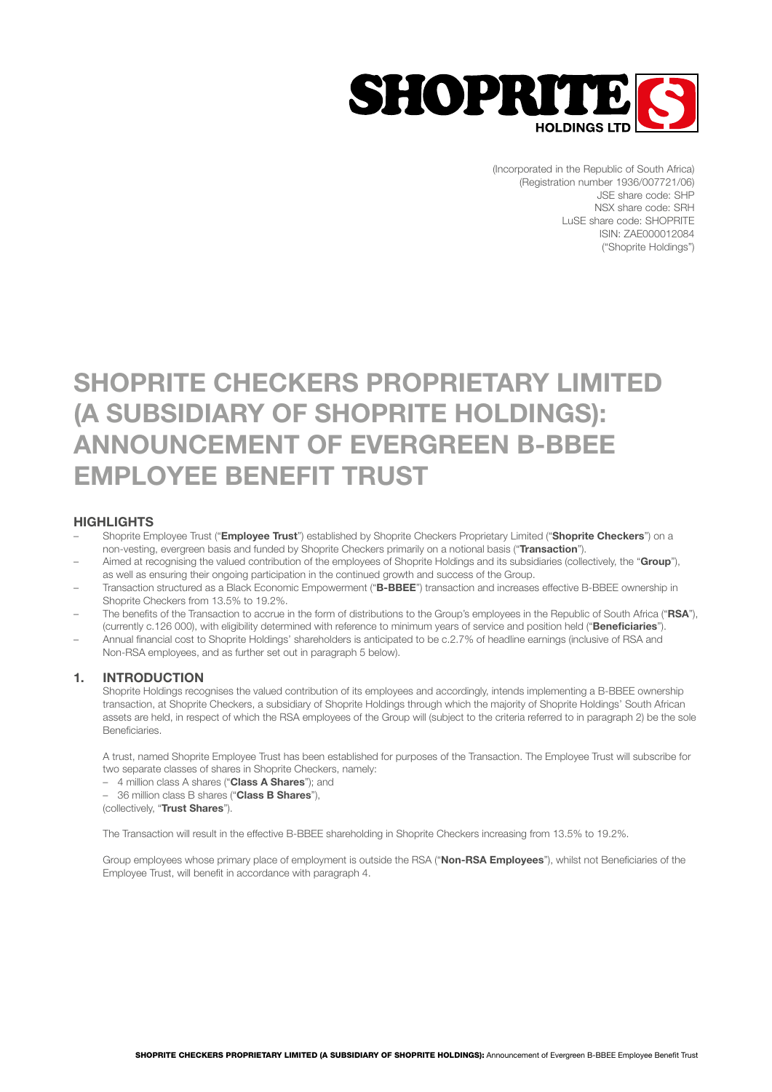

(Incorporated in the Republic of South Africa) (Registration number 1936/007721/06) JSE share code: SHP NSX share code: SRH LuSE share code: SHOPRITE ISIN: ZAE000012084 ("Shoprite Holdings")

# SHOPRITE CHECKERS PROPRIETARY LIMITED (A SUBSIDIARY OF SHOPRITE HOLDINGS): ANNOUNCEMENT OF EVERGREEN B-BBEE EMPLOYEE BENEFIT TRUST

# **HIGHLIGHTS**

- Shoprite Employee Trust ("Employee Trust") established by Shoprite Checkers Proprietary Limited ("Shoprite Checkers") on a non-vesting, evergreen basis and funded by Shoprite Checkers primarily on a notional basis ("Transaction").
- Aimed at recognising the valued contribution of the employees of Shoprite Holdings and its subsidiaries (collectively, the "Group"), as well as ensuring their ongoing participation in the continued growth and success of the Group.
- Transaction structured as a Black Economic Empowerment ("B-BBEE") transaction and increases effective B-BBEE ownership in Shoprite Checkers from 13.5% to 19.2%.
- The benefits of the Transaction to accrue in the form of distributions to the Group's employees in the Republic of South Africa ("RSA"), (currently c.126 000), with eligibility determined with reference to minimum years of service and position held ("Beneficiaries").
- Annual financial cost to Shoprite Holdings' shareholders is anticipated to be c.2.7% of headline earnings (inclusive of RSA and Non-RSA employees, and as further set out in paragraph 5 below).

# 1. INTRODUCTION

 Shoprite Holdings recognises the valued contribution of its employees and accordingly, intends implementing a B-BBEE ownership transaction, at Shoprite Checkers, a subsidiary of Shoprite Holdings through which the majority of Shoprite Holdings' South African assets are held, in respect of which the RSA employees of the Group will (subject to the criteria referred to in paragraph 2) be the sole Beneficiaries.

 A trust, named Shoprite Employee Trust has been established for purposes of the Transaction. The Employee Trust will subscribe for two separate classes of shares in Shoprite Checkers, namely:

– 4 million class A shares ("Class A Shares"); and

- 36 million class B shares ("Class B Shares"),

(collectively, "Trust Shares").

The Transaction will result in the effective B-BBEE shareholding in Shoprite Checkers increasing from 13.5% to 19.2%.

Group employees whose primary place of employment is outside the RSA ("Non-RSA Employees"), whilst not Beneficiaries of the Employee Trust, will benefit in accordance with paragraph 4.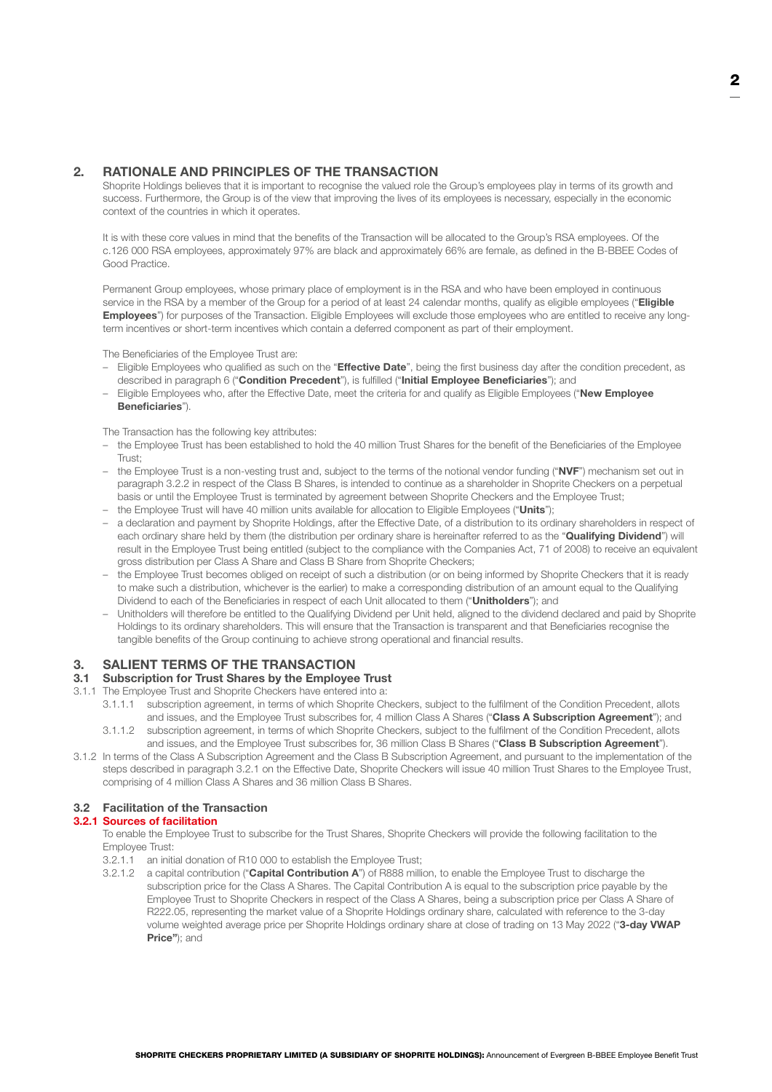# 2. RATIONALE AND PRINCIPLES OF THE TRANSACTION

Shoprite Holdings believes that it is important to recognise the valued role the Group's employees play in terms of its growth and success. Furthermore, the Group is of the view that improving the lives of its employees is necessary, especially in the economic context of the countries in which it operates.

 It is with these core values in mind that the benefits of the Transaction will be allocated to the Group's RSA employees. Of the c.126 000 RSA employees, approximately 97% are black and approximately 66% are female, as defined in the B-BBEE Codes of Good Practice.

 Permanent Group employees, whose primary place of employment is in the RSA and who have been employed in continuous service in the RSA by a member of the Group for a period of at least 24 calendar months, qualify as eligible employees ("Eligible Employees") for purposes of the Transaction. Eligible Employees will exclude those employees who are entitled to receive any longterm incentives or short-term incentives which contain a deferred component as part of their employment.

The Beneficiaries of the Employee Trust are:

- Eligible Employees who qualified as such on the "**Effective Date**", being the first business day after the condition precedent, as described in paragraph 6 ("Condition Precedent"), is fulfilled ("Initial Employee Beneficiaries"); and
- Eligible Employees who, after the Effective Date, meet the criteria for and qualify as Eligible Employees ("New Employee Beneficiaries").

The Transaction has the following key attributes:

- the Employee Trust has been established to hold the 40 million Trust Shares for the benefit of the Beneficiaries of the Employee Trust;
- the Employee Trust is a non-vesting trust and, subject to the terms of the notional vendor funding ("NVF") mechanism set out in paragraph 3.2.2 in respect of the Class B Shares, is intended to continue as a shareholder in Shoprite Checkers on a perpetual basis or until the Employee Trust is terminated by agreement between Shoprite Checkers and the Employee Trust;
- the Employee Trust will have 40 million units available for allocation to Eligible Employees ("Units");
- a declaration and payment by Shoprite Holdings, after the Effective Date, of a distribution to its ordinary shareholders in respect of each ordinary share held by them (the distribution per ordinary share is hereinafter referred to as the "**Qualifying Dividend**") will result in the Employee Trust being entitled (subject to the compliance with the Companies Act, 71 of 2008) to receive an equivalent gross distribution per Class A Share and Class B Share from Shoprite Checkers;
- the Employee Trust becomes obliged on receipt of such a distribution (or on being informed by Shoprite Checkers that it is ready to make such a distribution, whichever is the earlier) to make a corresponding distribution of an amount equal to the Qualifying Dividend to each of the Beneficiaries in respect of each Unit allocated to them ("Unitholders"); and
- Unitholders will therefore be entitled to the Qualifying Dividend per Unit held, aligned to the dividend declared and paid by Shoprite Holdings to its ordinary shareholders. This will ensure that the Transaction is transparent and that Beneficiaries recognise the tangible benefits of the Group continuing to achieve strong operational and financial results.

# 3. SALIENT TERMS OF THE TRANSACTION

# 3.1 Subscription for Trust Shares by the Employee Trust

- 3.1.1 The Employee Trust and Shoprite Checkers have entered into a:
	- 3.1.1.1 subscription agreement, in terms of which Shoprite Checkers, subject to the fulfilment of the Condition Precedent, allots and issues, and the Employee Trust subscribes for, 4 million Class A Shares ("Class A Subscription Agreement"); and
	- 3.1.1.2 subscription agreement, in terms of which Shoprite Checkers, subject to the fulfilment of the Condition Precedent, allots and issues, and the Employee Trust subscribes for, 36 million Class B Shares ("Class B Subscription Agreement").
- 3.1.2 In terms of the Class A Subscription Agreement and the Class B Subscription Agreement, and pursuant to the implementation of the steps described in paragraph 3.2.1 on the Effective Date, Shoprite Checkers will issue 40 million Trust Shares to the Employee Trust, comprising of 4 million Class A Shares and 36 million Class B Shares.

## 3.2 Facilitation of the Transaction

## 3.2.1 Sources of facilitation

 To enable the Employee Trust to subscribe for the Trust Shares, Shoprite Checkers will provide the following facilitation to the Employee Trust:

- 3.2.1.1 an initial donation of R10 000 to establish the Employee Trust;
- 3.2.1.2 a capital contribution ("Capital Contribution A") of R888 million, to enable the Employee Trust to discharge the subscription price for the Class A Shares. The Capital Contribution A is equal to the subscription price payable by the Employee Trust to Shoprite Checkers in respect of the Class A Shares, being a subscription price per Class A Share of R222.05, representing the market value of a Shoprite Holdings ordinary share, calculated with reference to the 3-day volume weighted average price per Shoprite Holdings ordinary share at close of trading on 13 May 2022 ("3-day VWAP Price"); and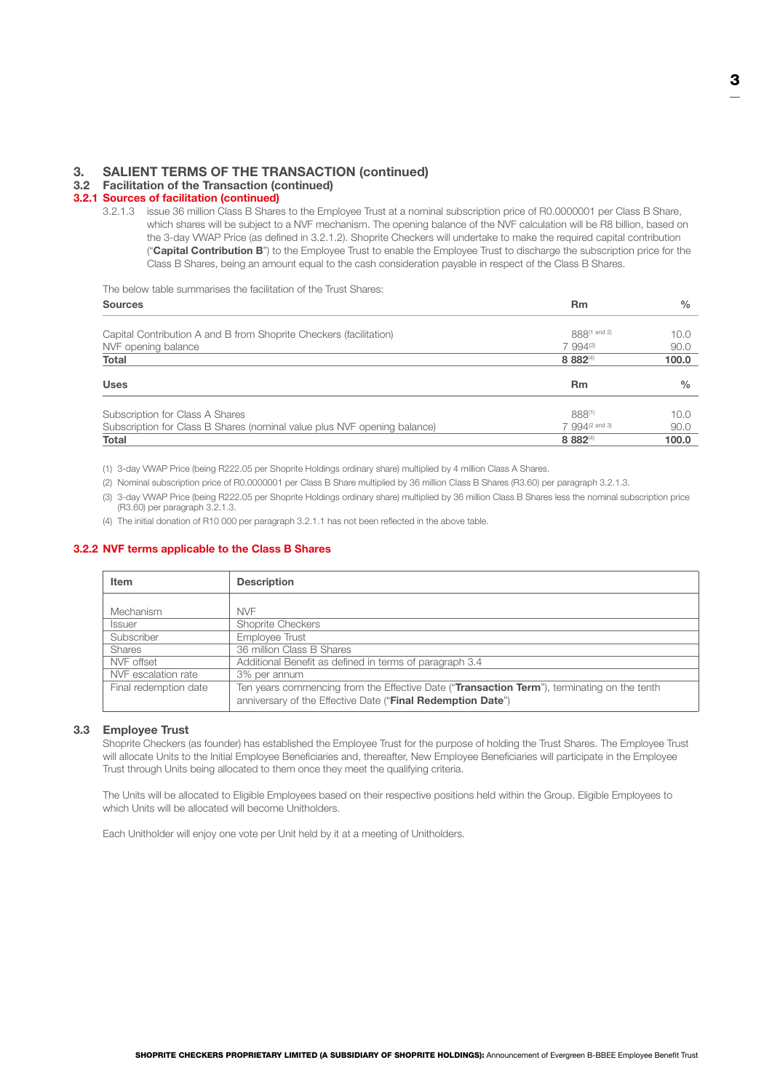# 3. SALIENT TERMS OF THE TRANSACTION (continued)

## 3.2 Facilitation of the Transaction (continued)

## 3.2.1 Sources of facilitation (continued)

3.2.1.3 issue 36 million Class B Shares to the Employee Trust at a nominal subscription price of R0.0000001 per Class B Share, which shares will be subject to a NVF mechanism. The opening balance of the NVF calculation will be R8 billion, based on the 3-day VWAP Price (as defined in 3.2.1.2). Shoprite Checkers will undertake to make the required capital contribution ("Capital Contribution B") to the Employee Trust to enable the Employee Trust to discharge the subscription price for the Class B Shares, being an amount equal to the cash consideration payable in respect of the Class B Shares.

The below table summarises the facilitation of the Trust Shares:

<span id="page-2-0"></span>

| <b>Sources</b>                                                           | <b>Rm</b>                  | $\frac{0}{0}$ |
|--------------------------------------------------------------------------|----------------------------|---------------|
|                                                                          | 888(1 and 2)               |               |
| Capital Contribution A and B from Shoprite Checkers (facilitation)       |                            | 10.0          |
| NVF opening balance                                                      | $7994^{(3)}$               | 90.0          |
| Total                                                                    | 8 8 8 2 (4)                | 100.0         |
| <b>Uses</b>                                                              | <b>Rm</b>                  | $\frac{0}{0}$ |
| Subscription for Class A Shares                                          | 888(1)                     | 10.0          |
| Subscription for Class B Shares (nominal value plus NVF opening balance) | 7 994 <sup>(2 and 3)</sup> | 90.0          |
| Total                                                                    | 8 8 8 2 (4)                | 100.0         |

(1) 3-day VWAP Price (being R222.05 per Shoprite Holdings ordinary share) multiplied by 4 million Class A Shares.

(2) Nominal subscription price of R0.0000001 per Class B Share multiplied by 36 million Class B Shares (R3.60) per paragraph 3.2.1.3.

(3) 3-day VWAP Price (being R222.05 per Shoprite Holdings ordinary share) multiplied by 36 million Class B Shares less the nominal subscription price (R3.60) per paragraph 3.2.1.3.

(4) The initial donation of R10 000 per paragraph 3.2.1.1 has not been reflected in the above table.

## 3.2.2 NVF terms applicable to the Class B Shares

| Item                  | <b>Description</b>                                                                          |
|-----------------------|---------------------------------------------------------------------------------------------|
|                       |                                                                                             |
| Mechanism             | <b>NVF</b>                                                                                  |
| <b>Issuer</b>         | <b>Shoprite Checkers</b>                                                                    |
| Subscriber            | Employee Trust                                                                              |
| <b>Shares</b>         | 36 million Class B Shares                                                                   |
| NVF offset            | Additional Benefit as defined in terms of paragraph 3.4                                     |
| NVF escalation rate   | 3% per annum                                                                                |
| Final redemption date | Ten years commencing from the Effective Date ("Transaction Term"), terminating on the tenth |
|                       | anniversary of the Effective Date ("Final Redemption Date")                                 |

#### 3.3 Employee Trust

 Shoprite Checkers (as founder) has established the Employee Trust for the purpose of holding the Trust Shares. The Employee Trust will allocate Units to the Initial Employee Beneficiaries and, thereafter, New Employee Beneficiaries will participate in the Employee Trust through Units being allocated to them once they meet the qualifying criteria.

 The Units will be allocated to Eligible Employees based on their respective positions held within the Group. Eligible Employees to which Units will be allocated will become Unitholders.

Each Unitholder will enjoy one vote per Unit held by it at a meeting of Unitholders.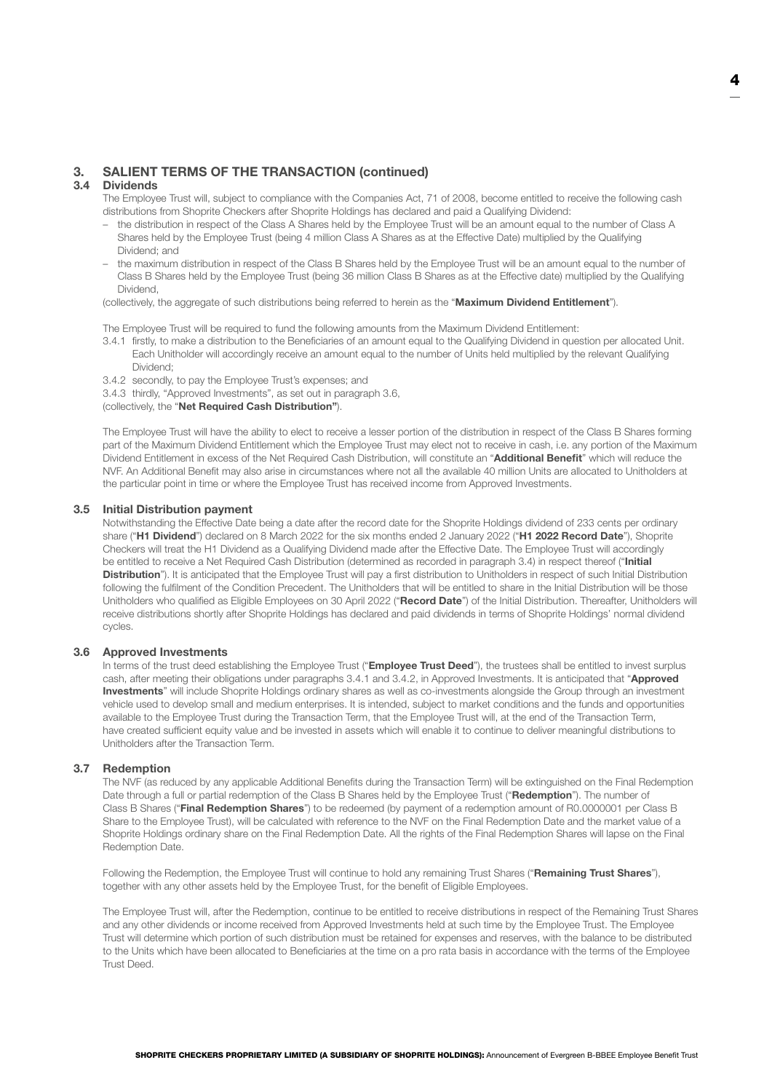# 3. SALIENT TERMS OF THE TRANSACTION (continued)

## 3.4 Dividends

 The Employee Trust will, subject to compliance with the Companies Act, 71 of 2008, become entitled to receive the following cash distributions from Shoprite Checkers after Shoprite Holdings has declared and paid a Qualifying Dividend:

- the distribution in respect of the Class A Shares held by the Employee Trust will be an amount equal to the number of Class A Shares held by the Employee Trust (being 4 million Class A Shares as at the Effective Date) multiplied by the Qualifying Dividend; and
- the maximum distribution in respect of the Class B Shares held by the Employee Trust will be an amount equal to the number of Class B Shares held by the Employee Trust (being 36 million Class B Shares as at the Effective date) multiplied by the Qualifying Dividend,

(collectively, the aggregate of such distributions being referred to herein as the "Maximum Dividend Entitlement").

The Employee Trust will be required to fund the following amounts from the Maximum Dividend Entitlement:

- 3.4.1 firstly, to make a distribution to the Beneficiaries of an amount equal to the Qualifying Dividend in question per allocated Unit. Each Unitholder will accordingly receive an amount equal to the number of Units held multiplied by the relevant Qualifying Dividend;
- <span id="page-3-0"></span>3.4.2 secondly, to pay the Employee Trust's expenses; and
- <span id="page-3-2"></span>3.4.3 thirdly, "Approved Investments", as set out in paragraph 3.6,

#### (collectively, the "Net Required Cash Distribution").

 The Employee Trust will have the ability to elect to receive a lesser portion of the distribution in respect of the Class B Shares forming part of the Maximum Dividend Entitlement which the Employee Trust may elect not to receive in cash, i.e. any portion of the Maximum Dividend Entitlement in excess of the Net Required Cash Distribution, will constitute an "Additional Benefit" which will reduce the NVF. An Additional Benefit may also arise in circumstances where not all the available 40 million Units are allocated to Unitholders at the particular point in time or where the Employee Trust has received income from Approved Investments.

#### <span id="page-3-1"></span>3.5 Initial Distribution payment

 Notwithstanding the Effective Date being a date after the record date for the Shoprite Holdings dividend of 233 cents per ordinary share ("H1 Dividend") declared on 8 March 2022 for the six months ended 2 January 2022 ("H1 2022 Record Date"), Shoprite Checkers will treat the H1 Dividend as a Qualifying Dividend made after the Effective Date. The Employee Trust will accordingly be entitled to receive a Net Required Cash Distribution (determined as recorded in paragraph 3.4) in respect thereof ("Initial Distribution"). It is anticipated that the Employee Trust will pay a first distribution to Unitholders in respect of such Initial Distribution following the fulfilment of the Condition Precedent. The Unitholders that will be entitled to share in the Initial Distribution will be those Unitholders who qualified as Eligible Employees on 30 April 2022 ("Record Date") of the Initial Distribution. Thereafter, Unitholders will receive distributions shortly after Shoprite Holdings has declared and paid dividends in terms of Shoprite Holdings' normal dividend cycles.

#### 3.6 Approved Investments

In terms of the trust deed establishing the Employee Trust ("Employee Trust Deed"), the trustees shall be entitled to invest surplus cash, after meeting their obligations under paragraphs [3.4.1](#page-2-0) and [3.4.2](#page-3-0), in Approved Investments. It is anticipated that "Approved Investments" will include Shoprite Holdings ordinary shares as well as co-investments alongside the Group through an investment vehicle used to develop small and medium enterprises. It is intended, subject to market conditions and the funds and opportunities available to the Employee Trust during the Transaction Term, that the Employee Trust will, at the end of the Transaction Term, have created sufficient equity value and be invested in assets which will enable it to continue to deliver meaningful distributions to Unitholders after the Transaction Term.

#### 3.7 Redemption

 The NVF (as reduced by any applicable Additional Benefits during the Transaction Term) will be extinguished on the Final Redemption Date through a full or partial redemption of the Class B Shares held by the Employee Trust ("Redemption"). The number of Class B Shares ("Final Redemption Shares") to be redeemed (by payment of a redemption amount of R0.0000001 per Class B Share to the Employee Trust), will be calculated with reference to the NVF on the Final Redemption Date and the market value of a Shoprite Holdings ordinary share on the Final Redemption Date. All the rights of the Final Redemption Shares will lapse on the Final Redemption Date.

Following the Redemption, the Employee Trust will continue to hold any remaining Trust Shares ("Remaining Trust Shares"), together with any other assets held by the Employee Trust, for the benefit of Eligible Employees.

 The Employee Trust will, after the Redemption, continue to be entitled to receive distributions in respect of the Remaining Trust Shares and any other dividends or income received from Approved Investments held at such time by the Employee Trust. The Employee Trust will determine which portion of such distribution must be retained for expenses and reserves, with the balance to be distributed to the Units which have been allocated to Beneficiaries at the time on a pro rata basis in accordance with the terms of the Employee Trust Deed.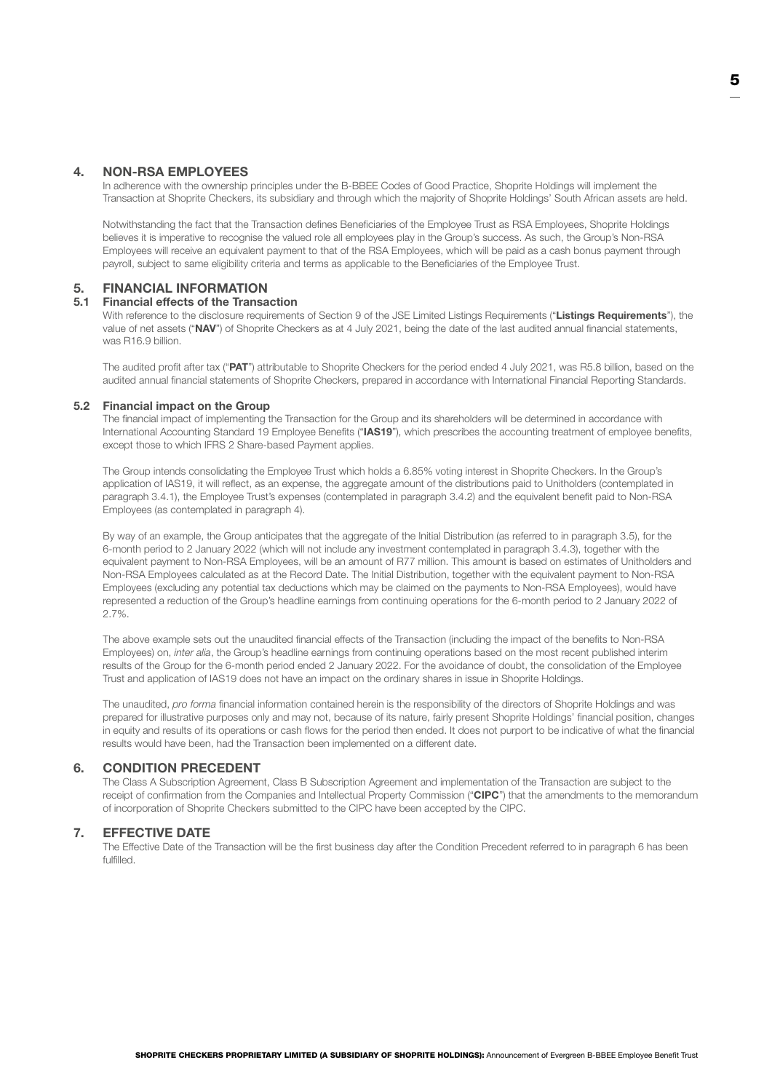# 4. NON-RSA EMPLOYEES

 In adherence with the ownership principles under the B-BBEE Codes of Good Practice, Shoprite Holdings will implement the Transaction at Shoprite Checkers, its subsidiary and through which the majority of Shoprite Holdings' South African assets are held.

 Notwithstanding the fact that the Transaction defines Beneficiaries of the Employee Trust as RSA Employees, Shoprite Holdings believes it is imperative to recognise the valued role all employees play in the Group's success. As such, the Group's Non-RSA Employees will receive an equivalent payment to that of the RSA Employees, which will be paid as a cash bonus payment through payroll, subject to same eligibility criteria and terms as applicable to the Beneficiaries of the Employee Trust.

# 5. FINANCIAL INFORMATION

#### 5.1 Financial effects of the Transaction

With reference to the disclosure requirements of Section 9 of the JSE Limited Listings Requirements ("Listings Requirements"), the value of net assets ("NAV") of Shoprite Checkers as at 4 July 2021, being the date of the last audited annual financial statements, was R16.9 billion.

The audited profit after tax ("PAT") attributable to Shoprite Checkers for the period ended 4 July 2021, was R5.8 billion, based on the audited annual financial statements of Shoprite Checkers, prepared in accordance with International Financial Reporting Standards.

#### 5.2 Financial impact on the Group

 The financial impact of implementing the Transaction for the Group and its shareholders will be determined in accordance with International Accounting Standard 19 Employee Benefits ("IAS19"), which prescribes the accounting treatment of employee benefits, except those to which IFRS 2 Share-based Payment applies.

 The Group intends consolidating the Employee Trust which holds a 6.85% voting interest in Shoprite Checkers. In the Group's application of IAS19, it will reflect, as an expense, the aggregate amount of the distributions paid to Unitholders (contemplated in paragraph [3.4.1\)](#page-2-0), the Employee Trust's expenses (contemplated in paragraph [3.4.2\)](#page-3-0) and the equivalent benefit paid to Non-RSA Employees (as contemplated in paragraph 4).

 By way of an example, the Group anticipates that the aggregate of the Initial Distribution (as referred to in paragraph [3.5\)](#page-3-1), for the 6-month period to 2 January 2022 (which will not include any investment contemplated in paragraph [3.4.3](#page-3-2)), together with the equivalent payment to Non-RSA Employees, will be an amount of R77 million. This amount is based on estimates of Unitholders and Non-RSA Employees calculated as at the Record Date. The Initial Distribution, together with the equivalent payment to Non-RSA Employees (excluding any potential tax deductions which may be claimed on the payments to Non-RSA Employees), would have represented a reduction of the Group's headline earnings from continuing operations for the 6-month period to 2 January 2022 of 2.7%.

 The above example sets out the unaudited financial effects of the Transaction (including the impact of the benefits to Non-RSA Employees) on, *inter alia*, the Group's headline earnings from continuing operations based on the most recent published interim results of the Group for the 6-month period ended 2 January 2022. For the avoidance of doubt, the consolidation of the Employee Trust and application of IAS19 does not have an impact on the ordinary shares in issue in Shoprite Holdings.

 The unaudited, *pro forma* financial information contained herein is the responsibility of the directors of Shoprite Holdings and was prepared for illustrative purposes only and may not, because of its nature, fairly present Shoprite Holdings' financial position, changes in equity and results of its operations or cash flows for the period then ended. It does not purport to be indicative of what the financial results would have been, had the Transaction been implemented on a different date.

# 6. CONDITION PRECEDENT

 The Class A Subscription Agreement, Class B Subscription Agreement and implementation of the Transaction are subject to the receipt of confirmation from the Companies and Intellectual Property Commission ("CIPC") that the amendments to the memorandum of incorporation of Shoprite Checkers submitted to the CIPC have been accepted by the CIPC.

## 7. EFFECTIVE DATE

 The Effective Date of the Transaction will be the first business day after the Condition Precedent referred to in paragraph 6 has been fulfilled.